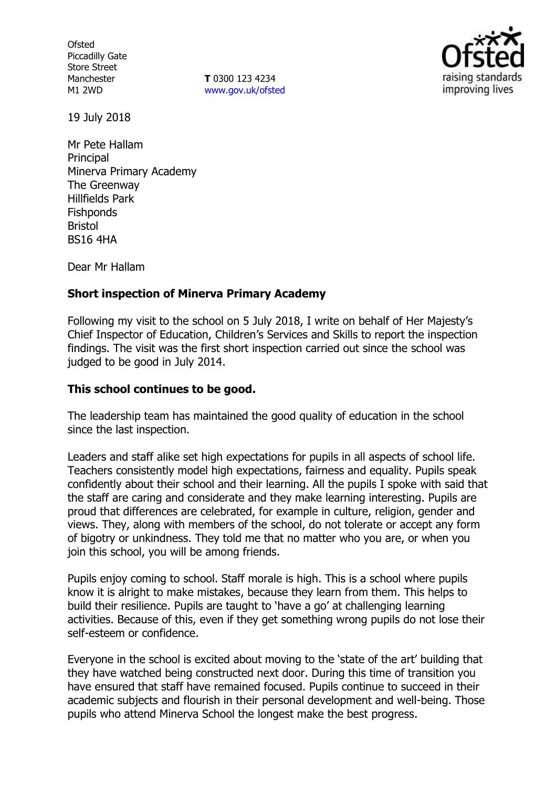**Ofsted** Piccadilly Gate Store Street Manchester M1 2WD

**T** 0300 123 4234 www.gov.uk/ofsted



19 July 2018

Mr Pete Hallam **Principal** Minerva Primary Academy The Greenway Hillfields Park **Fishponds** Bristol BS16 4HA

Dear Mr Hallam

# **Short inspection of Minerva Primary Academy**

Following my visit to the school on 5 July 2018, I write on behalf of Her Majesty's Chief Inspector of Education, Children's Services and Skills to report the inspection findings. The visit was the first short inspection carried out since the school was judged to be good in July 2014.

# **This school continues to be good.**

The leadership team has maintained the good quality of education in the school since the last inspection.

Leaders and staff alike set high expectations for pupils in all aspects of school life. Teachers consistently model high expectations, fairness and equality. Pupils speak confidently about their school and their learning. All the pupils I spoke with said that the staff are caring and considerate and they make learning interesting. Pupils are proud that differences are celebrated, for example in culture, religion, gender and views. They, along with members of the school, do not tolerate or accept any form of bigotry or unkindness. They told me that no matter who you are, or when you join this school, you will be among friends.

Pupils enjoy coming to school. Staff morale is high. This is a school where pupils know it is alright to make mistakes, because they learn from them. This helps to build their resilience. Pupils are taught to 'have a go' at challenging learning activities. Because of this, even if they get something wrong pupils do not lose their self-esteem or confidence.

Everyone in the school is excited about moving to the 'state of the art' building that they have watched being constructed next door. During this time of transition you have ensured that staff have remained focused. Pupils continue to succeed in their academic subjects and flourish in their personal development and well-being. Those pupils who attend Minerva School the longest make the best progress.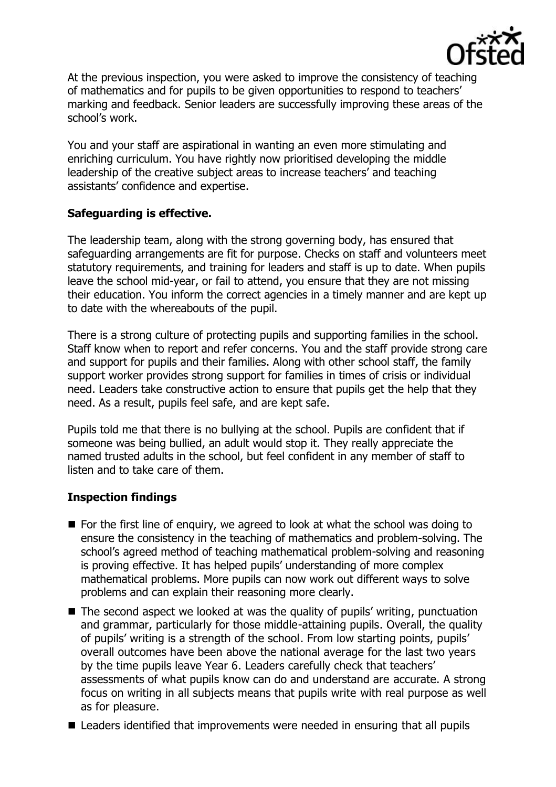

At the previous inspection, you were asked to improve the consistency of teaching of mathematics and for pupils to be given opportunities to respond to teachers' marking and feedback. Senior leaders are successfully improving these areas of the school's work.

You and your staff are aspirational in wanting an even more stimulating and enriching curriculum. You have rightly now prioritised developing the middle leadership of the creative subject areas to increase teachers' and teaching assistants' confidence and expertise.

# **Safeguarding is effective.**

The leadership team, along with the strong governing body, has ensured that safeguarding arrangements are fit for purpose. Checks on staff and volunteers meet statutory requirements, and training for leaders and staff is up to date. When pupils leave the school mid-year, or fail to attend, you ensure that they are not missing their education. You inform the correct agencies in a timely manner and are kept up to date with the whereabouts of the pupil.

There is a strong culture of protecting pupils and supporting families in the school. Staff know when to report and refer concerns. You and the staff provide strong care and support for pupils and their families. Along with other school staff, the family support worker provides strong support for families in times of crisis or individual need. Leaders take constructive action to ensure that pupils get the help that they need. As a result, pupils feel safe, and are kept safe.

Pupils told me that there is no bullying at the school. Pupils are confident that if someone was being bullied, an adult would stop it. They really appreciate the named trusted adults in the school, but feel confident in any member of staff to listen and to take care of them.

### **Inspection findings**

- $\blacksquare$  For the first line of enquiry, we agreed to look at what the school was doing to ensure the consistency in the teaching of mathematics and problem-solving. The school's agreed method of teaching mathematical problem-solving and reasoning is proving effective. It has helped pupils' understanding of more complex mathematical problems. More pupils can now work out different ways to solve problems and can explain their reasoning more clearly.
- The second aspect we looked at was the quality of pupils' writing, punctuation and grammar, particularly for those middle-attaining pupils. Overall, the quality of pupils' writing is a strength of the school. From low starting points, pupils' overall outcomes have been above the national average for the last two years by the time pupils leave Year 6. Leaders carefully check that teachers' assessments of what pupils know can do and understand are accurate. A strong focus on writing in all subjects means that pupils write with real purpose as well as for pleasure.
- Leaders identified that improvements were needed in ensuring that all pupils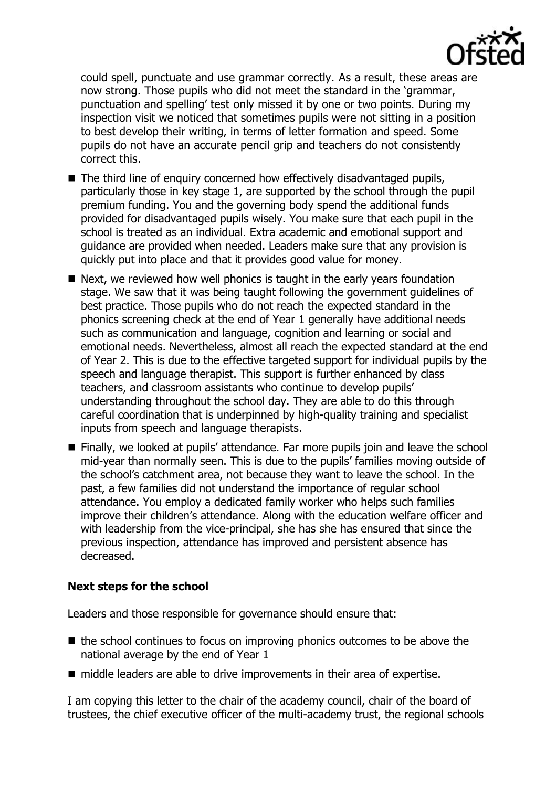

could spell, punctuate and use grammar correctly. As a result, these areas are now strong. Those pupils who did not meet the standard in the 'grammar, punctuation and spelling' test only missed it by one or two points. During my inspection visit we noticed that sometimes pupils were not sitting in a position to best develop their writing, in terms of letter formation and speed. Some pupils do not have an accurate pencil grip and teachers do not consistently correct this.

- The third line of enquiry concerned how effectively disadvantaged pupils, particularly those in key stage 1, are supported by the school through the pupil premium funding. You and the governing body spend the additional funds provided for disadvantaged pupils wisely. You make sure that each pupil in the school is treated as an individual. Extra academic and emotional support and guidance are provided when needed. Leaders make sure that any provision is quickly put into place and that it provides good value for money.
- Next, we reviewed how well phonics is taught in the early years foundation stage. We saw that it was being taught following the government guidelines of best practice. Those pupils who do not reach the expected standard in the phonics screening check at the end of Year 1 generally have additional needs such as communication and language, cognition and learning or social and emotional needs. Nevertheless, almost all reach the expected standard at the end of Year 2. This is due to the effective targeted support for individual pupils by the speech and language therapist. This support is further enhanced by class teachers, and classroom assistants who continue to develop pupils' understanding throughout the school day. They are able to do this through careful coordination that is underpinned by high-quality training and specialist inputs from speech and language therapists.
- Finally, we looked at pupils' attendance. Far more pupils join and leave the school mid-year than normally seen. This is due to the pupils' families moving outside of the school's catchment area, not because they want to leave the school. In the past, a few families did not understand the importance of regular school attendance. You employ a dedicated family worker who helps such families improve their children's attendance. Along with the education welfare officer and with leadership from the vice-principal, she has she has ensured that since the previous inspection, attendance has improved and persistent absence has decreased.

### **Next steps for the school**

Leaders and those responsible for governance should ensure that:

- $\blacksquare$  the school continues to focus on improving phonics outcomes to be above the national average by the end of Year 1
- middle leaders are able to drive improvements in their area of expertise.

I am copying this letter to the chair of the academy council, chair of the board of trustees, the chief executive officer of the multi-academy trust, the regional schools